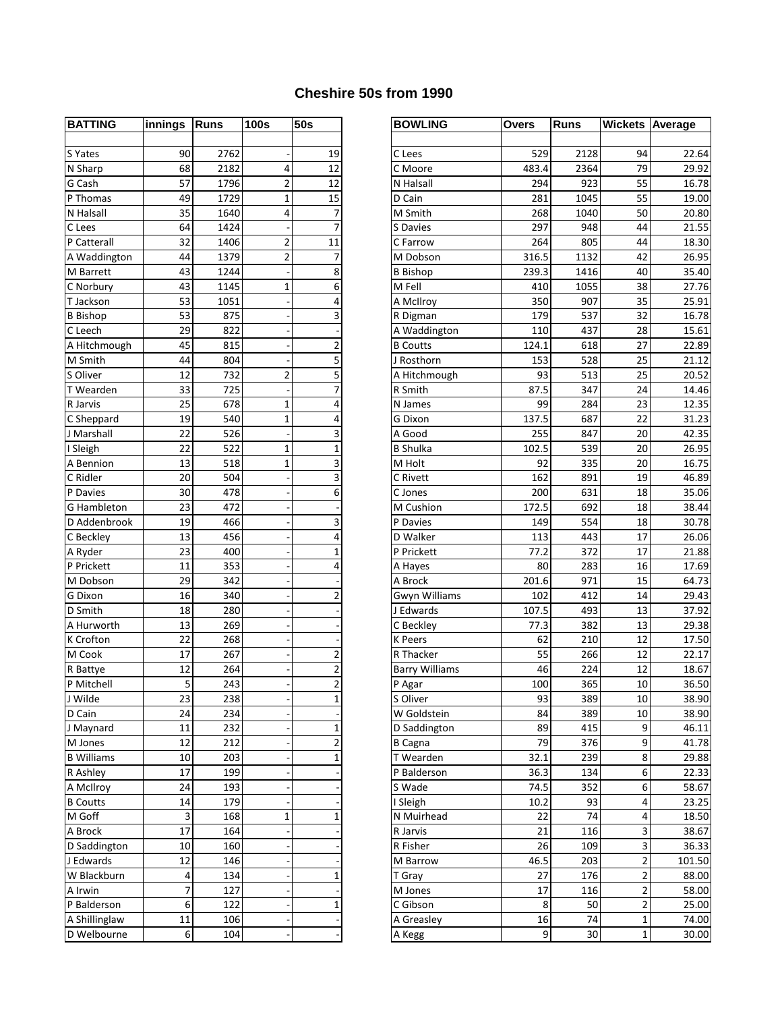## **Cheshire 50s from 1990**

| <b>BATTING</b>     | innings | <b>Runs</b> | <b>100s</b>    | 50s                     |
|--------------------|---------|-------------|----------------|-------------------------|
|                    |         |             |                |                         |
| S Yates            | 90      | 2762        |                | 19                      |
| N Sharp            | 68      | 2182        | 4              | 12                      |
| G Cash             | 57      | 1796        | $\overline{2}$ | 12                      |
| P Thomas           | 49      | 1729        | 1              | 15                      |
| N Halsall          | 35      | 1640        | 4              | 7                       |
| C Lees             | 64      | 1424        |                | $\overline{7}$          |
| P Catterall        | 32      | 1406        | 2              | 11                      |
| A Waddington       | 44      | 1379        | 2              | 7                       |
| M Barrett          | 43      | 1244        |                | 8                       |
| C Norbury          | 43      | 1145        | 1              | 6                       |
| T Jackson          | 53      | 1051        |                | 4                       |
| <b>B</b> Bishop    | 53      | 875         |                | 3                       |
| C Leech            | 29      | 822         |                |                         |
| A Hitchmough       | 45      | 815         |                | $\overline{c}$          |
| M Smith            | 44      | 804         |                | $\overline{5}$          |
| S Oliver           | 12      | 732         | 2              | 5                       |
| T Wearden          | 33      | 725         |                | $\overline{7}$          |
| R Jarvis           | 25      | 678         | 1              | 4                       |
| C Sheppard         | 19      | 540         | 1              | 4                       |
| J Marshall         | 22      | 526         |                | 3                       |
| I Sleigh           | 22      | 522         | 1              | $\mathbf{1}$            |
| A Bennion          | 13      | 518         | 1              | 3                       |
| C Ridler           | 20      | 504         |                | $\overline{\mathbf{3}}$ |
| P Davies           | 30      | 478         |                | 6                       |
| <b>G</b> Hambleton | 23      | 472         |                |                         |
| D Addenbrook       | 19      | 466         |                | 3                       |
| C Beckley          | 13      | 456         |                | 4                       |
| A Ryder            | 23      | 400         |                | $\mathbf{1}$            |
| P Prickett         | 11      | 353         |                | 4                       |
| M Dobson           | 29      | 342         |                |                         |
| G Dixon            | 16      | 340         |                | $\overline{\mathbf{c}}$ |
| D Smith            | 18      | 280         |                |                         |
| A Hurworth         | 13      | 269         |                |                         |
| K Crofton          | 22      | 268         |                |                         |
| M Cook             | 17      | 267         |                | $\overline{\mathbf{c}}$ |
| R Battye           | 12      | 264         |                | $\overline{\mathbf{c}}$ |
| P Mitchell         | 5       | 243         |                | $\overline{2}$          |
| J Wilde            | 23      | 238         |                | 1                       |
| D Cain             | 24      | 234         |                |                         |
| J Maynard          | 11      | 232         |                | $\mathbf{1}$            |
| M Jones            | 12      | 212         |                | 2                       |
| <b>B</b> Williams  | 10      | 203         |                | $\mathbf{1}$            |
| R Ashley           | 17      | 199         |                |                         |
| A McIlroy          | 24      | 193         |                |                         |
| <b>B</b> Coutts    | 14      | 179         |                |                         |
| M Goff             | 3       | 168         | 1              | $\overline{1}$          |
| A Brock            | 17      | 164         |                |                         |
| D Saddington       | 10      | 160         |                |                         |
| J Edwards          | 12      | 146         |                |                         |
| W Blackburn        | 4       | 134         |                | $\mathbf{1}$            |
| A Irwin            | 7       | 127         |                |                         |
| P Balderson        | 6       | 122         |                | $\overline{1}$          |
| A Shillinglaw      | 11      | 106         |                |                         |
| D Welbourne        | 6       | 104         |                |                         |
|                    |         |             |                |                         |

| <b>BATTING</b>    | innings | Runs | <b>100s</b> | <b>50s</b>              | <b>BOWLING</b>        | <b>Overs</b> | <b>Runs</b> | <b>Wickets Average</b> |        |
|-------------------|---------|------|-------------|-------------------------|-----------------------|--------------|-------------|------------------------|--------|
|                   |         |      |             |                         |                       |              |             |                        |        |
| S Yates           | 90      | 2762 |             | 19                      | C Lees                | 529          | 2128        | 94                     | 22.64  |
| N Sharp           | 68      | 2182 | 4           | 12                      | C Moore               | 483.4        | 2364        | 79                     | 29.92  |
| G Cash            | 57      | 1796 | 2           | 12                      | N Halsall             | 294          | 923         | 55                     | 16.78  |
| P Thomas          | 49      | 1729 | 1           | 15                      | D Cain                | 281          | 1045        | 55                     | 19.00  |
| N Halsall         | 35      | 1640 | 4           | $\overline{7}$          | M Smith               | 268          | 1040        | 50                     | 20.80  |
| C Lees            | 64      | 1424 |             | $\overline{7}$          | S Davies              | 297          | 948         | 44                     | 21.55  |
| P Catterall       | 32      | 1406 | 2           | 11                      | C Farrow              | 264          | 805         | 44                     | 18.30  |
| A Waddington      | 44      | 1379 | 2           | 7                       | M Dobson              | 316.5        | 1132        | 42                     | 26.95  |
| M Barrett         | 43      | 1244 |             | 8                       | <b>B</b> Bishop       | 239.3        | 1416        | 40                     | 35.40  |
| C Norbury         | 43      | 1145 | 1           | 6                       | M Fell                | 410          | 1055        | 38                     | 27.76  |
| T Jackson         | 53      | 1051 |             | 4                       | A McIlroy             | 350          | 907         | 35                     | 25.91  |
| <b>B</b> Bishop   | 53      | 875  |             | 3                       | R Digman              | 179          | 537         | 32                     | 16.78  |
| C Leech           | 29      | 822  |             |                         | A Waddington          | 110          | 437         | 28                     | 15.61  |
| A Hitchmough      | 45      | 815  |             | $\overline{2}$          | <b>B</b> Coutts       | 124.1        | 618         | 27                     | 22.89  |
| M Smith           | 44      | 804  |             | 5                       | J Rosthorn            | 153          | 528         | 25                     | 21.12  |
| S Oliver          | 12      | 732  | 2           | 5                       | A Hitchmough          | 93           | 513         | 25                     | 20.52  |
| T Wearden         | 33      | 725  |             | $\overline{7}$          | R Smith               | 87.5         | 347         | 24                     | 14.46  |
| R Jarvis          | 25      | 678  | 1           | 4                       | N James               | 99           | 284         | 23                     | 12.35  |
| C Sheppard        | 19      | 540  | 1           | 4                       | G Dixon               | 137.5        | 687         | 22                     | 31.23  |
| J Marshall        | 22      | 526  |             | 3                       | A Good                | 255          | 847         | 20                     | 42.35  |
| I Sleigh          | 22      | 522  | 1           | $\mathbf{1}$            | <b>B</b> Shulka       | 102.5        | 539         | 20                     | 26.95  |
| A Bennion         | 13      | 518  | 1           | 3                       | M Holt                | 92           | 335         | 20                     | 16.75  |
| C Ridler          | 20      | 504  |             | 3                       | C Rivett              | 162          | 891         | 19                     | 46.89  |
| P Davies          | 30      | 478  |             | 6                       | C Jones               | 200          | 631         | 18                     | 35.06  |
| G Hambleton       | 23      | 472  |             |                         | M Cushion             | 172.5        | 692         | 18                     | 38.44  |
| D Addenbrook      | 19      | 466  |             | 3                       | P Davies              | 149          | 554         | 18                     | 30.78  |
| C Beckley         | 13      | 456  |             | 4                       | D Walker              | 113          | 443         | 17                     | 26.06  |
| A Ryder           | 23      | 400  |             | 1                       | P Prickett            | 77.2         | 372         | 17                     | 21.88  |
| P Prickett        | 11      | 353  |             | 4                       | A Hayes               | 80           | 283         | 16                     | 17.69  |
| M Dobson          | 29      | 342  |             |                         | A Brock               | 201.6        | 971         | 15                     | 64.73  |
| G Dixon           | 16      | 340  |             | $\overline{2}$          | Gwyn Williams         | 102          | 412         | 14                     | 29.43  |
| D Smith           | 18      | 280  |             |                         | J Edwards             | 107.5        | 493         | 13                     | 37.92  |
| A Hurworth        | 13      | 269  |             |                         | C Beckley             | 77.3         | 382         | 13                     | 29.38  |
| K Crofton         | 22      | 268  |             |                         | <b>K</b> Peers        | 62           | 210         | 12                     | 17.50  |
| M Cook            | 17      | 267  |             | 2                       | R Thacker             | 55           | 266         | 12                     | 22.17  |
| R Battye          | 12      | 264  |             | $\overline{\mathbf{c}}$ | <b>Barry Williams</b> | 46           | 224         | 12                     | 18.67  |
| P Mitchell        | 5       | 243  |             | 2                       | P Agar                | 100          | 365         | 10                     | 36.50  |
| J Wilde           | 23      | 238  |             | 1                       | S Oliver              | 93           | 389         | 10                     | 38.90  |
| D Cain            | 24      | 234  |             |                         | W Goldstein           | 84           | 389         | 10                     | 38.90  |
| J Maynard         | 11      | 232  |             | 1                       | D Saddington          | 89           | 415         | 9                      | 46.11  |
| M Jones           | 12      | 212  |             | 2                       | <b>B</b> Cagna        | 79           | 376         | 9                      | 41.78  |
| <b>B</b> Williams | 10      | 203  |             | $\mathbf 1$             | T Wearden             | 32.1         | 239         | 8                      | 29.88  |
| R Ashley          | 17      | 199  |             |                         | P Balderson           | 36.3         | 134         | 6                      | 22.33  |
| A McIlroy         | 24      | 193  |             |                         | S Wade                | 74.5         | 352         | 6                      | 58.67  |
| <b>B</b> Coutts   | 14      | 179  |             |                         | I Sleigh              | 10.2         | 93          | 4                      | 23.25  |
| M Goff            | 3       | 168  | 1           | 1                       | N Muirhead            | 22           | 74          | 4                      | 18.50  |
| A Brock           | 17      | 164  |             |                         | R Jarvis              | 21           | 116         | 3                      | 38.67  |
| D Saddington      | 10      | 160  |             |                         | R Fisher              | 26           | 109         | 3                      | 36.33  |
| J Edwards         | 12      | 146  |             |                         | M Barrow              | 46.5         | 203         | 2                      | 101.50 |
| W Blackburn       | 4       | 134  |             | 1                       | T Gray                | 27           | 176         | 2                      | 88.00  |
| A Irwin           | 7       | 127  |             |                         | M Jones               | 17           | 116         | 2                      | 58.00  |
| P Balderson       | 6       | 122  |             | 1                       | C Gibson              | 8            | 50          | 2                      | 25.00  |
| A Shillinglaw     | 11      | 106  |             |                         | A Greasley            | 16           | 74          | 1                      | 74.00  |
| D Welbourne       | 6       | 104  |             |                         | A Kegg                | 9            | 30          | 1                      | 30.00  |
|                   |         |      |             |                         |                       |              |             |                        |        |